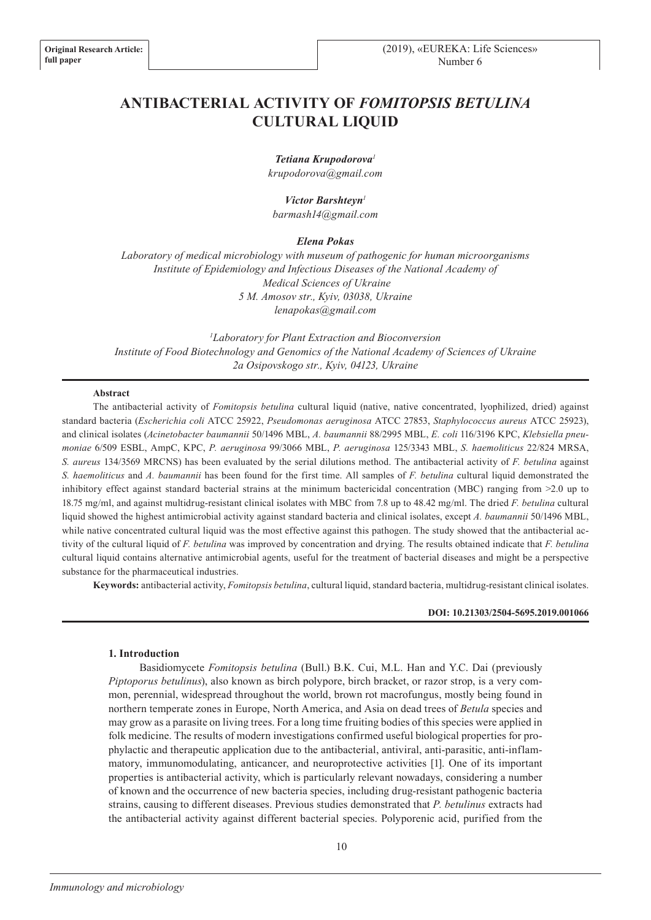# **ANTIBACTERIAL ACTIVITY OF** *FOMITOPSIS BETULINA* **CULTURAL LIQUID**

*Tetiana Krupodorova<sup>1</sup> krupodorova@gmail.com*

*Victor Barshteyn<sup>1</sup> barmash14@gmail.com*

*Elena Pokas*

*Laboratory of medical microbiology with museum of pathogenic for human microorganisms Institute of Epidemiology and Infectious Diseases of the National Academy of Medical Sciences of Ukraine 5 M. Amosov str., Kyiv, 03038, Ukraine lenapokas@gmail.com*

*<sup>1</sup>Laboratory for Plant Extraction and Bioconversion Institute of Food Biotechnology and Genomics of the National Academy of Sciences of Ukraine 2a Osipovskogo str., Kyiv, 04123, Ukraine*

### **Abstract**

The antibacterial activity of *Fomitopsis betulina* cultural liquid (native, native concentrated, lyophilized, dried) against standard bacteria (*Escherichia coli* АТСС 25922, *Pseudomonas aeruginosa* АТСС 27853, *Staphylococcus aureus* АТСС 25923), and clinical isolates (*Acinetobacter baumannii* 50/1496 MBL, *A. baumannii* 88/2995 MBL, *E. coli* 116/3196 KPC, *Klebsiella pneumoniae* 6/509 ESBL, AmpC, KPC, *P. aeruginosa* 99/3066 MBL, *P. aeruginosa* 125/3343 MBL, *S. haemoliticus* 22/824 MRSA, *S. aureus* 134/3569 MRCNS) has been evaluated by the serial dilutions method. The antibacterial activity of *F. betulina* against *S. haemoliticus* and *A. baumannii* has been found for the first time. All samples of *F. betulina* cultural liquid demonstrated the inhibitory effect against standard bacterial strains at the minimum bactericidal concentration (MBC) ranging from >2.0 up to 18.75 mg/ml, and against multidrug-resistant clinical isolates with MBC from 7.8 up to 48.42 mg/ml. The dried *F. betulina* cultural liquid showed the highest antimicrobial activity against standard bacteria and clinical isolates, except *A. baumannii* 50/1496 MBL, while native concentrated cultural liquid was the most effective against this pathogen. The study showed that the antibacterial activity of the cultural liquid of *F. betulina* was improved by concentration and drying. The results obtained indicate that *F. betulina*  cultural liquid contains alternative antimicrobial agents, useful for the treatment of bacterial diseases and might be a perspective substance for the pharmaceutical industries.

**Keywords:** antibacterial activity, *Fomitopsis betulina*, cultural liquid, standard bacteria, multidrug-resistant clinical isolates.

### **DOI: 10.21303/2504-5695.2019.001066**

### **1. Introduction**

Basidiomycete *Fomitopsis betulina* (Bull.) B.K. Cui, M.L. Han and Y.C. Dai (previously *Piptoporus betulinus*), also known as birch polypore, birch bracket, or razor strop, is a very common, perennial, widespread throughout the world, brown rot macrofungus, mostly being found in northern temperate zones in Europe, North America, and Asia on dead trees of *Betula* species and may grow as a parasite on living trees. For a long time fruiting bodies of this species were applied in folk medicine. The results of modern investigations confirmed useful biological properties for prophylactic and therapeutic application due to the antibacterial, antiviral, anti-parasitic, anti-inflammatory, immunomodulating, anticancer, and neuroprotective activities [1]. One of its important properties is antibacterial activity, which is particularly relevant nowadays, considering a number of known and the occurrence of new bacteria species, including drug-resistant pathogenic bacteria strains, causing to different diseases. Previous studies demonstrated that *P. betulinus* extracts had the antibacterial activity against different bacterial species. Polyporenic acid, purified from the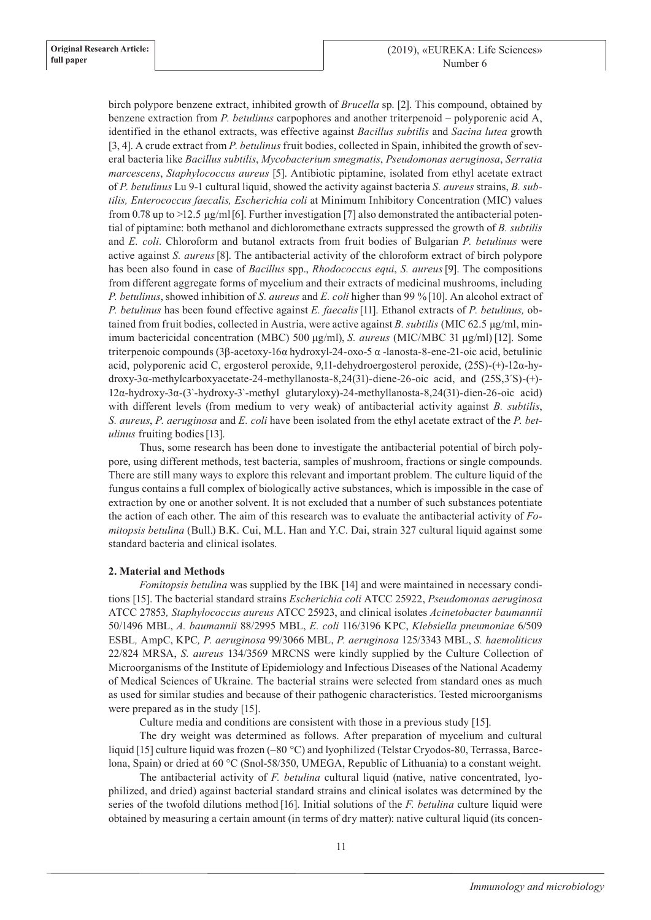birch polypore benzene extract, inhibited growth of *Brucella* sp. [2]. This compound, obtained by benzene extraction from *P. betulinus* carpophores and another triterpenoid – polyporenic acid A, identified in the ethanol extracts, was effective against *Bacillus subtilis* and *Sacina lutea* growth [3, 4]. A crude extract from *P. betulinus* fruit bodies, collected in Spain, inhibited the growth of several bacteria like *Bacillus subtilis*, *Mycobacterium smegmatis*, *Pseudomonas aeruginosa*, *Serratia marcescens*, *Staphylococcus aureus* [5]. Antibiotic piptamine, isolated from ethyl acetate extract of *P. betulinus* Lu 9-1 cultural liquid, showed the activity against bacteria *S. aureus* strains, *B. subtilis, Enterococcus faecalis, Escherichia coli* at Minimum Inhibitory Concentration (MIC) values from 0.78 up to >12.5  $\mu$ g/ml [6]. Further investigation [7] also demonstrated the antibacterial potential of piptamine: both methanol and dichloromethane extracts suppressed the growth of *B. subtilis* and *E. coli*. Chloroform and butanol extracts from fruit bodies of Bulgarian *P. betulinus* were active against *S. aureus*[8]. The antibacterial activity of the chloroform extract of birch polypore has been also found in case of *Bacillus* spp., *Rhodococcus equi*, *S. aureus*[9]. The compositions from different aggregate forms of mycelium and their extracts of medicinal mushrooms, including *P. betulinus*, showed inhibition of *S. aureus* and *E. coli* higher than 99 %[10]. An alcohol extract of *P. betulinus* has been found effective against *E. faecalis*[11]. Ethanol extracts of *P. betulinus,* obtained from fruit bodies, collected in Austria, were active against *B. subtilis* (MIC 62.5 μg/ml, minimum bactericidal concentration (MBC) 500 μg/ml), *S. aureus* (MIC/MBC 31 μg/ml) [12]. Some triterpenoic compounds (3β-acetoxy-16α hydroxyl-24-oxo-5 α -lanosta-8-ene-21-oic acid, betulinic acid, polyporenic acid C, ergosterol peroxide, 9,11-dehydroergosterol peroxide, (25S)-(+)-12α-hydroxy-3α-methylcarboxyacetate-24-methyllanosta-8,24(31)-diene-26-oic acid, and (25S,3´S)-(+)- 12α-hydroxy-3α-(3`-hydroxy-3`-methyl glutaryloxy)-24-methyllanosta-8,24(31)-dien-26-oic acid) with different levels (from medium to very weak) of antibacterial activity against *B. subtilis*, *S. aureus*, *P. aeruginosa* and *E. coli* have been isolated from the ethyl acetate extract of the *P. betulinus* fruiting bodies[13].

Thus, some research has been done to investigate the antibacterial potential of birch polypore, using different methods, test bacteria, samples of mushroom, fractions or single compounds. There are still many ways to explore this relevant and important problem. The culture liquid of the fungus contains a full complex of biologically active substances, which is impossible in the case of extraction by one or another solvent. It is not excluded that a number of such substances potentiate the action of each other. The aim of this research was to evaluate the antibacterial activity of *Fomitopsis betulina* (Bull.) B.K. Cui, M.L. Han and Y.C. Dai, strain 327 cultural liquid against some standard bacteria and clinical isolates.

## **2. Material and Methods**

*Fomitopsis betulina* was supplied by the IBK [14] and were maintained in necessary conditions [15]. The bacterial standard strains *Escherichia coli* АТСС 25922, *Pseudomonas aeruginosa*  АТСС 27853*, Staphylococcus aureus* АТСС 25923, and clinical isolates *Acinetobacter baumannii*  50/1496 MBL, *A. baumannii* 88/2995 MBL, *E. coli* 116/3196 KPC, *Klebsiella pneumoniae* 6/509 ESBL*,* AmpC, KPC*, P. aeruginosa* 99/3066 MBL, *P. aeruginosa* 125/3343 MBL, *S. haemoliticus*  22/824 MRSA, *S. aureus* 134/3569 MRCNS were kindly supplied by the Culture Collection of Microorganisms of the Institute of Epidemiology and Infectious Diseases of the National Academy of Medical Sciences of Ukraine. The bacterial strains were selected from standard ones as much as used for similar studies and because of their pathogenic characteristics. Tested microorganisms were prepared as in the study [15].

Culture media and conditions are consistent with those in a previous study [15].

The dry weight was determined as follows. After preparation of mycelium and cultural liquid [15] culture liquid was frozen (–80 °C) and lyophilized (Telstar Cryodos-80, Terrassa, Barcelona, Spain) or dried at 60 °C (Snol-58/350, UMEGA, Republic of Lithuania) to a constant weight.

The antibacterial activity of *F. betulina* cultural liquid (native, native concentrated, lyophilized, and dried) against bacterial standard strains and clinical isolates was determined by the series of the twofold dilutions method [16]. Initial solutions of the *F. betulina* culture liquid were obtained by measuring a certain amount (in terms of dry matter): native cultural liquid (its concen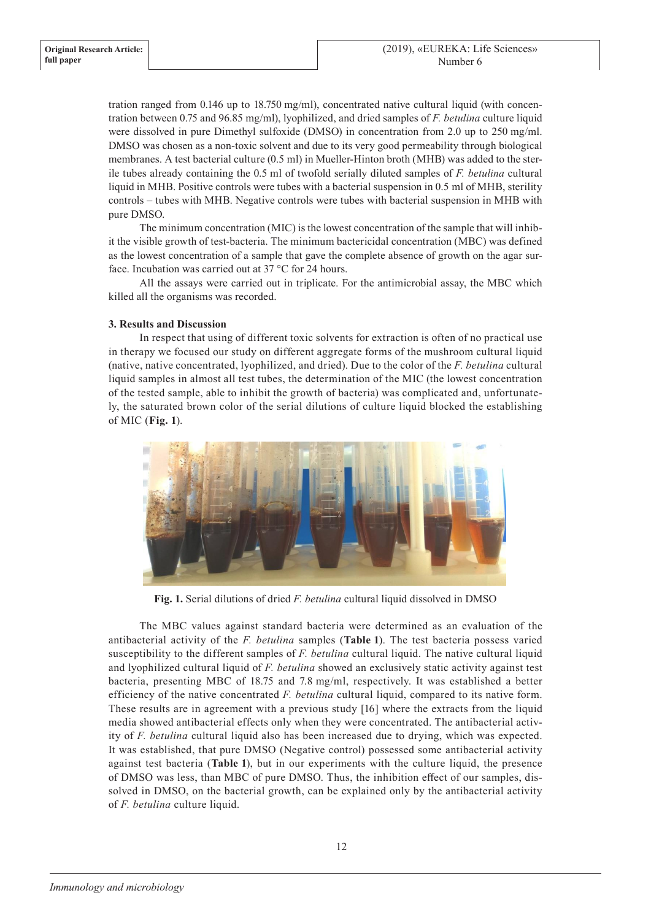tration ranged from 0.146 up to 18.750 mg/ml), concentrated native cultural liquid (with concentration between 0.75 and 96.85 mg/ml), lyophilized, and dried samples of *F. betulina* culture liquid were dissolved in pure Dimethyl sulfoxide (DMSO) in concentration from 2.0 up to 250 mg/ml. DMSO was chosen as a non-toxic solvent and due to its very good permeability through biological membranes. A test bacterial culture (0.5 ml) in Mueller-Hinton broth (MHB) was added to the sterile tubes already containing the 0.5 ml of twofold serially diluted samples of *F. betulina* cultural liquid in MHB. Positive controls were tubes with a bacterial suspension in 0.5 ml of MHB, sterility controls – tubes with MHB. Negative controls were tubes with bacterial suspension in MHB with pure DMSO.

The minimum concentration (MIC) is the lowest concentration of the sample that will inhibit the visible growth of test-bacteria. The minimum bactericidal concentration (MBC) was defined as the lowest concentration of a sample that gave the complete absence of growth on the agar surface. Incubation was carried out at 37 °C for 24 hours.

All the assays were carried out in triplicate. For the antimicrobial assay, the MBC which killed all the organisms was recorded.

# **3. Results and Discussion**

In respect that using of different toxic solvents for extraction is often of no practical use in therapy we focused our study on different aggregate forms of the mushroom cultural liquid (native, native concentrated, lyophilized, and dried). Due to the color of the *F. betulina* cultural liquid samples in almost all test tubes, the determination of the MIC (the lowest concentration of the tested sample, able to inhibit the growth of bacteria) was complicated and, unfortunately, the saturated brown color of the serial dilutions of culture liquid blocked the establishing of MIC (**Fig. 1**).



**Fig. 1.** Serial dilutions of dried *F. betulina* cultural liquid dissolved in DMSO

The MBC values against standard bacteria were determined as an evaluation of the antibacterial activity of the *F. betulina* samples (**Table 1**). The test bacteria possess varied susceptibility to the different samples of *F. betulina* cultural liquid. The native cultural liquid and lyophilized cultural liquid of *F. betulina* showed an exclusively static activity against test bacteria, presenting MBC of 18.75 and 7.8 mg/ml, respectively. It was established a better efficiency of the native concentrated *F. betulina* cultural liquid, compared to its native form. These results are in agreement with a previous study [16] where the extracts from the liquid media showed antibacterial effects only when they were concentrated. The antibacterial activity of *F. betulina* cultural liquid also has been increased due to drying, which was expected. It was established, that pure DMSO (Negative control) possessed some antibacterial activity against test bacteria (**Table 1**), but in our experiments with the culture liquid, the presence of DMSO was less, than MBC of pure DMSO. Thus, the inhibition effect of our samples, dissolved in DMSO, on the bacterial growth, can be explained only by the antibacterial activity of *F. betulina* culture liquid.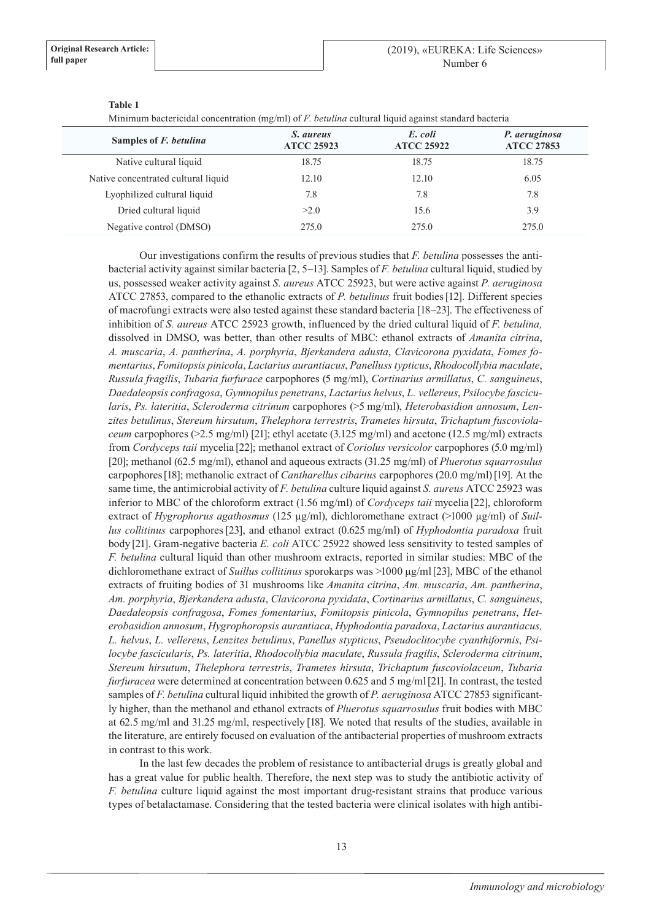| <u>1.11111111.0111 casestistam scilestin anche (inglimi) et i i cenninial satantat rigata againer emiliant a castella</u> |                                |                              |                                    |
|---------------------------------------------------------------------------------------------------------------------------|--------------------------------|------------------------------|------------------------------------|
| Samples of <i>F. betulina</i>                                                                                             | S. aureus<br><b>ATCC 25923</b> | E. coli<br><b>ATCC 25922</b> | P. aeruginosa<br><b>ATCC 27853</b> |
| Native cultural liquid                                                                                                    | 18.75                          | 18.75                        | 18.75                              |
| Native concentrated cultural liquid                                                                                       | 12.10                          | 12.10                        | 6.05                               |
| Lyophilized cultural liquid                                                                                               | 7.8                            | 7.8                          | 7.8                                |
| Dried cultural liquid                                                                                                     | >2.0                           | 15.6                         | 3.9                                |
| Negative control (DMSO)                                                                                                   | 275.0                          | 275.0                        | 275.0                              |

### **Table 1**

Minimum bactericidal concentration (mg/ml) of *F. betulina* cultural liquid against standard bacteria

Our investigations confirm the results of previous studies that *F. betulina* possesses the antibacterial activity against similar bacteria [2, 5–13]. Samples of *F. betulina* cultural liquid, studied by us, possessed weaker activity against *S. aureus* ATCC 25923, but were active against *P. aeruginosa*  АТСС 27853, compared to the ethanolic extracts of *P. betulinus* fruit bodies[12]. Different species of macrofungi extracts were also tested against these standard bacteria [18–23]. The effectiveness of inhibition of *S. aureus* ATCC 25923 growth, influenced by the dried cultural liquid of *F. betulina,* dissolved in DMSO, was better, than other results of MBC: ethanol extracts of *Amanita citrina*, *A. muscaria*, *A. pantherina*, *A. porphyria*, *Bjerkandera adusta*, *Clavicorona pyxidata*, *Fomes fomentarius*, *Fomitopsis pinicola*, *Lactarius aurantiacus*, *Panelluss typticus*, *Rhodocollybia maculate*, *Russula fragilis*, *Tubaria furfurace* carpophores (5 mg/ml), *Cortinarius armillatus*, *C. sanguineus*, *Daedaleopsis confragosa*, *Gymnopilus penetrans*, *Lactarius helvus*, *L. vellereus*, *Psilocybe fascicularis*, *Ps. lateritia*, *Scleroderma citrinum* carpophores (>5 mg/ml), *Heterobasidion annosum*, *Lenzites betulinus*, *Stereum hirsutum*, *Thelephora terrestris*, *Trametes hirsuta*, *Trichaptum fuscoviolaceum* carpophores ( $>2.5$  mg/ml) [21]; ethyl acetate (3.125 mg/ml) and acetone (12.5 mg/ml) extracts from *Cordyceps taii* mycelia [22]; methanol extract of *Coriolus versicolor* carpophores (5.0 mg/ml) [20]; methanol (62.5 mg/ml), ethanol and aqueous extracts (31.25 mg/ml) of *Pluerotus squarrosulus* carpophores[18]; methanolic extract of *Cantharellus cibarius* carpophores (20.0 mg/ml)[19]. At the same time, the antimicrobial activity of *F. betulina* culture liquid against *S. aureus* ATCC 25923 was inferior to MBC of the chloroform extract (1.56 mg/ml) of *Cordyceps taii* mycelia [22], chloroform extract of *Hygrophorus agathosmus* (125 µg/ml), dichloromethane extract (>1000 µg/ml) of *Suillus collitinus* carpophores[23], and ethanol extract (0.625 mg/ml) of *Hyphodontia paradoxa* fruit body [21]. Gram-negative bacteria *E. coli* АТСС 25922 showed less sensitivity to tested samples of *F. betulina* cultural liquid than other mushroom extracts, reported in similar studies: MBC of the dichloromethane extract of *Suillus collitinus* sporokarps was >1000 μg/ml[23], MBC of the ethanol extracts of fruiting bodies of 31 mushrooms like *Amanita citrina*, *Am. muscaria*, *Am. pantherina*, *Am. porphyria*, *Bjerkandera adusta*, *Clavicorona pyxidata*, *Cortinarius armillatus*, *C. sanguineus*, *Daedaleopsis confragosa*, *Fomes fomentarius*, *Fomitopsis pinicola*, *Gymnopilus penetrans*, *Heterobasidion annosum*, *Hygrophoropsis aurantiaca*, *Hyphodontia paradoxa*, *Lactarius aurantiacus, L. helvus*, *L. vellereus*, *Lenzites betulinus*, *Panellus stypticus*, *Pseudoclitocybe cyanthiformis*, *Psilocybe fascicularis*, *Ps. lateritia*, *Rhodocollybia maculate*, *Russula fragilis*, *Scleroderma citrinum*, *Stereum hirsutum*, *Thelephora terrestris*, *Trametes hirsuta*, *Trichaptum fuscoviolaceum*, *Tubaria furfuracea* were determined at concentration between 0.625 and 5 mg/ml[21]. In contrast, the tested samples of *F. betulina* cultural liquid inhibited the growth of *P. aeruginosa* АТСС 27853 significantly higher, than the methanol and ethanol extracts of *Pluerotus squarrosulus* fruit bodies with MBC at 62.5 mg/ml and 31.25 mg/ml, respectively [18]. We noted that results of the studies, available in the literature, are entirely focused on evaluation of the antibacterial properties of mushroom extracts in contrast to this work.

In the last few decades the problem of resistance to antibacterial drugs is greatly global and has a great value for public health. Therefore, the next step was to study the antibiotic activity of *F. betulina* culture liquid against the most important drug-resistant strains that produce various types of betalactamase. Considering that the tested bacteria were clinical isolates with high antibi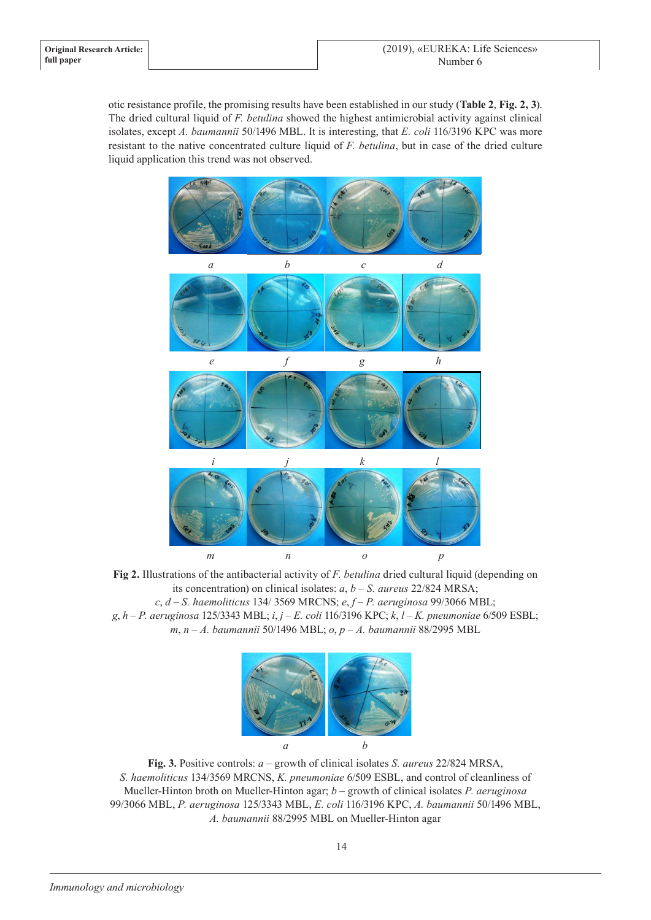otic resistance profile, the promising results have been established in our study (**Table 2**, **Fig. 2, 3**). The dried cultural liquid of *F. betulina* showed the highest antimicrobial activity against clinical isolates, except *A. baumannii* 50/1496 MBL. It is interesting, that *E. coli* 116/3196 KPC was more resistant to the native concentrated culture liquid of *F. betulina*, but in case of the dried culture liquid application this trend was not observed.



**Fig 2.** Illustrations of the antibacterial activity of *F. betulina* dried cultural liquid (depending on its concentration) on clinical isolates: *a*, *b* – *S. aureus* 22/824 MRSA; *c*, *d* – *S. haemoliticus* 134/ 3569 MRCNS; *e*, *f* – *P. aeruginosa* 99/3066 MBL; *g*, *h* – *P. aeruginosa* 125/3343 MBL; *i*, *j* – *E. coli* 116/3196 KPC; *k*, *l* – *K. pneumoniae* 6/509 ESBL; *m*, *n* – *A. baumannii* 50/1496 MBL; *o*, *p* – *A. baumannii* 88/2995 MBL



**Fig. 3.** Positive controls: *a* – growth of clinical isolates *S. aureus* 22/824 MRSA, *S. haemoliticus* 134/3569 MRCNS, *K. pneumoniae* 6/509 ESBL, and control of cleanliness of Mueller-Hinton broth on Mueller-Hinton agar; *b* – growth of clinical isolates *P. aeruginosa*  99/3066 MBL, *P. aeruginosa* 125/3343 MBL, *E. coli* 116/3196 KPC, *A. baumannii* 50/1496 MBL, *A. baumannii* 88/2995 MBL on Mueller-Hinton agar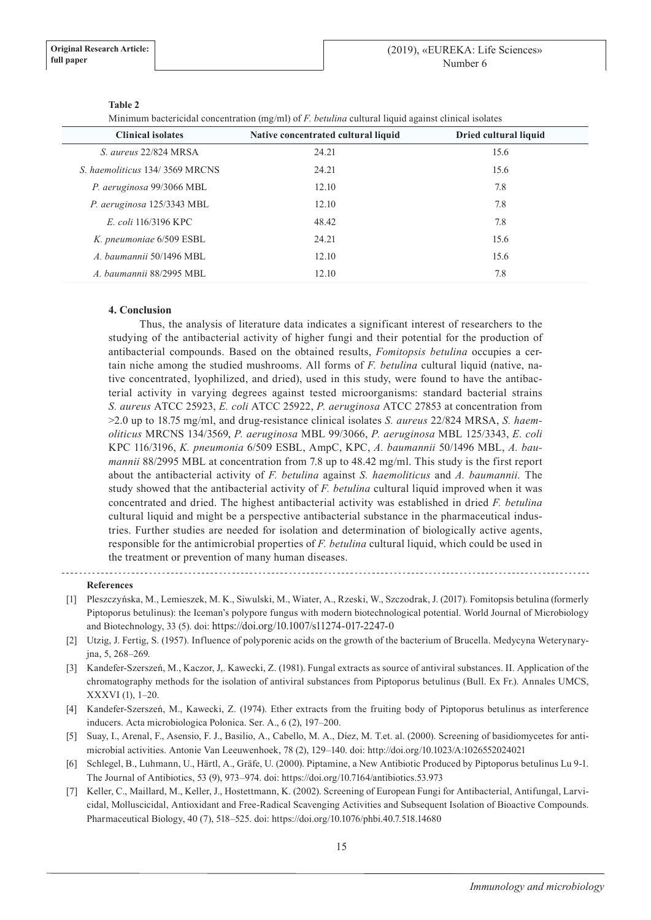| Minimum bactericidal concentration (mg/ml) of F. <i>betuling</i> cultural liquid against clinical isolates |                                     |                       |  |
|------------------------------------------------------------------------------------------------------------|-------------------------------------|-----------------------|--|
| <b>Clinical isolates</b>                                                                                   | Native concentrated cultural liquid | Dried cultural liquid |  |
| S. aureus 22/824 MRSA                                                                                      | 24.21                               | 15.6                  |  |
| S. haemoliticus 134/3569 MRCNS                                                                             | 24.21                               | 15.6                  |  |
| P. aeruginosa 99/3066 MBL                                                                                  | 12.10                               | 7.8                   |  |
| P. aeruginosa 125/3343 MBL                                                                                 | 12.10                               | 7.8                   |  |
| E. coli 116/3196 KPC                                                                                       | 48.42                               | 7.8                   |  |
| K. pneumoniae 6/509 ESBL                                                                                   | 24.21                               | 15.6                  |  |
| A. baumannii 50/1496 MBL                                                                                   | 12.10                               | 15.6                  |  |
| A. baumannii 88/2995 MBL                                                                                   | 12.10                               | 7.8                   |  |

### **Table 2**

Minimum bactericidal concentration (mg/ml) of *F. betulina* cultural liquid against clinical isolates

## **4. Conclusion**

Thus, the analysis of literature data indicates a significant interest of researchers to the studying of the antibacterial activity of higher fungi and their potential for the production of antibacterial compounds. Based on the obtained results, *Fomitopsis betulina* occupies a certain niche among the studied mushrooms. All forms of *F. betulina* cultural liquid (native, native concentrated, lyophilized, and dried), used in this study, were found to have the antibacterial activity in varying degrees against tested microorganisms: standard bacterial strains *S. aureus* АТСС 25923, *E. coli* АТСС 25922, *P. aeruginosa* АТСС 27853 at concentration from >2.0 up to 18.75 mg/ml, and drug-resistance clinical isolates *S. aureus* 22/824 MRSA, *S. haemoliticus* MRCNS 134/3569, *P. aeruginosa* MBL 99/3066, *P. aeruginosa* MBL 125/3343, *E. coli* KPC 116/3196, *K. pneumonia* 6/509 ESBL, AmpC, KPC, *A. baumannii* 50/1496 MBL, *A. baumannii* 88/2995 MBL at concentration from 7.8 up to 48.42 mg/ml. This study is the first report about the antibacterial activity of *F. betulina* against *S. haemoliticus* and *A. baumannii.* The study showed that the antibacterial activity of *F. betulina* cultural liquid improved when it was concentrated and dried. The highest antibacterial activity was established in dried *F. betulina* cultural liquid and might be a perspective antibacterial substance in the pharmaceutical industries. Further studies are needed for isolation and determination of biologically active agents, responsible for the antimicrobial properties of *F. betulina* cultural liquid, which could be used in the treatment or prevention of many human diseases.

#### **References**

- [1] Pleszczyńska, M., Lemieszek, M. K., Siwulski, M., Wiater, A., Rzeski, W., Szczodrak, J. (2017). Fomitopsis betulina (formerly Piptoporus betulinus): the Iceman's polypore fungus with modern biotechnological potential. World Journal of Microbiology and Biotechnology, 33 (5). doi: https://doi.org/10.1007/s11274-017-2247-0
- [2] Utzig, J. Fertig, S. (1957). Influence of polyporenic acids on the growth of the bacterium of Brucella. Medycyna Weterynaryjna, 5, 268–269.
- [3] Kandefer-Szerszeń, M., Kaczor, J,. Kawecki, Z. (1981). Fungal extracts as source of antiviral substances. II. Application of the chromatography methods for the isolation of antiviral substances from Piptoporus betulinus (Bull. Ex Fr.). Annales UMCS, XXXVI (1), 1–20.
- [4] Kandefer-Szerszeń, M., Kawecki, Z. (1974). Ether extracts from the fruiting body of Piptoporus betulinus as interference inducers. Acta microbiologica Polonica. Ser. A., 6 (2), 197–200.
- [5] Suay, I., Arenal, F., Asensio, F. J., Basilio, A., Cabello, M. A., Díez, M. T.et. al. (2000). Screening of basidiomycetes for antimicrobial activities. Antonie Van Leeuwenhoek, 78 (2), 129–140. doi: http://doi.org/10.1023/A:1026552024021
- [6] Schlegel, B., Luhmann, U., Härtl, A., Gräfe, U. (2000). Piptamine, a New Antibiotic Produced by Piptoporus betulinus Lu 9-1. The Journal of Antibiotics, 53 (9), 973–974. doi: https://doi.org/10.7164/antibiotics.53.973
- [7] Keller, C., Maillard, M., Keller, J., Hostettmann, K. (2002). Screening of European Fungi for Antibacterial, Antifungal, Larvicidal, Molluscicidal, Antioxidant and Free-Radical Scavenging Activities and Subsequent Isolation of Bioactive Compounds. Pharmaceutical Biology, 40 (7), 518–525. doi: https://doi.org/10.1076/phbi.40.7.518.14680